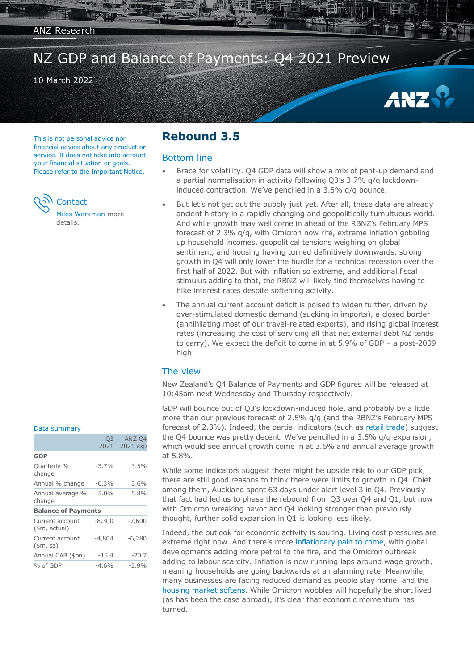NZ GDP and Balance of Payments: Q4 2021 Preview

### 10 March 2022

This is not personal advice nor financial advice about any product or service. It does not take into account your financial situation or goals. Please refer to the Important Notice.

**Contact** 

[Miles Workman](#page-2-0) more details.

## **Rebound 3.5**

#### Bottom line

 Brace for volatility. Q4 GDP data will show a mix of pent-up demand and a partial normalisation in activity following Q3's 3.7% q/q lockdowninduced contraction. We've pencilled in a 3.5% q/q bounce.

ANZ

- But let's not get out the bubbly just yet. After all, these data are already ancient history in a rapidly changing and geopolitically tumultuous world. And while growth may well come in ahead of the RBNZ's February MPS forecast of 2.3% q/q, with Omicron now rife, extreme inflation gobbling up household incomes, geopolitical tensions weighing on global sentiment, and housing having turned definitively downwards, strong growth in Q4 will only lower the hurdle for a technical recession over the first half of 2022. But with inflation so extreme, and additional fiscal stimulus adding to that, the RBNZ will likely find themselves having to hike interest rates despite softening activity.
- The annual current account deficit is poised to widen further, driven by over-stimulated domestic demand (sucking in imports), a closed border (annihilating most of our travel-related exports), and rising global interest rates (increasing the cost of servicing all that net external debt NZ tends to carry). We expect the deficit to come in at 5.9% of GDP – a post-2009 high.

### The view

New Zealand's Q4 Balance of Payments and GDP figures will be released at 10:45am next Wednesday and Thursday respectively.

GDP will bounce out of Q3's lockdown-induced hole, and probably by a little more than our previous forecast of 2.5% q/q (and the RBNZ's February MPS forecast of 2.3%). Indeed, the partial indicators (such as [retail trade\)](https://publications.anz.com/SingletrackCMS__DownloadDocument?uid=99702b34-f49e-4c62-b4d0-ba0205338c02&docRef=704e9b3d-1602-4952-9193-aad043fc5398&jobRef=dd623ef0-e607-489e-8476-ed9e17d1d90c) suggest the Q4 bounce was pretty decent. We've pencilled in a 3.5% q/q expansion, which would see annual growth come in at 3.6% and annual average growth at 5.8%.

While some indicators suggest there might be upside risk to our GDP pick, there are still good reasons to think there were limits to growth in Q4. Chief among them, Auckland spent 63 days under alert level 3 in Q4. Previously that fact had led us to phase the rebound from Q3 over Q4 and Q1, but now with Omicron wreaking havoc and Q4 looking stronger than previously thought, further solid expansion in Q1 is looking less likely.

Indeed, the outlook for economic activity is souring. Living cost pressures are extreme right now. And there's more [inflationary pain to come,](https://bit.ly/ANZ-Forecast-Update-Inflation-20220308) with global developments adding more petrol to the fire, and the Omicron outbreak adding to labour scarcity. Inflation is now running laps around wage growth, meaning households are going backwards at an alarming rate. Meanwhile, many businesses are facing reduced demand as people stay home, and the [housing market softens.](https://publications.anz.com/SingletrackCMS__DownloadDocument?uid=99702b34-f49e-4c62-b4d0-ba0205338c02&docRef=a6a329bb-614e-4cbc-9820-7febd9fcad32&jobRef=6f125b67-462b-4278-af49-65df7a75c5b4) While Omicron wobbles will hopefully be short lived (as has been the case abroad), it's clear that economic momentum has turned.

#### Data summary

| O <sub>3</sub><br>2021     | ANZ <sub>04</sub><br>2021 exp |
|----------------------------|-------------------------------|
|                            |                               |
| $-3.7%$                    | 3.5%                          |
| $-0.3%$                    | $3.6\%$                       |
| $5.0\%$                    | 5.8%                          |
| <b>Balance of Payments</b> |                               |
| $-8,300$                   | $-7,600$                      |
| $-4,804$                   | $-6,280$                      |
| $-15.4$                    | $-20.7$                       |
| $-4.6%$                    | $-5.9%$                       |
|                            |                               |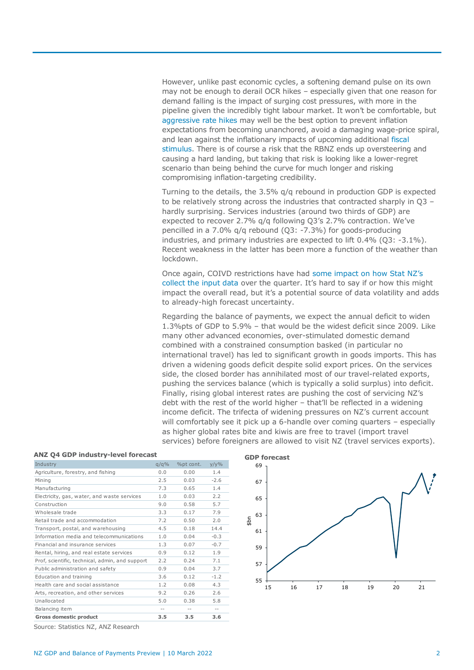However, unlike past economic cycles, a softening demand pulse on its own may not be enough to derail OCR hikes – especially given that one reason for demand falling is the impact of surging cost pressures, with more in the pipeline given the incredibly tight labour market. It won't be comfortable, but [aggressive rate hikes](https://bit.ly/ANZ-Forecast-Update-OCR-20220308) may well be the best option to prevent inflation expectations from becoming unanchored, avoid a damaging wage-price spiral, and lean against the inflationary impacts of upcoming additional [fiscal](https://bit.ly/ANZ-HYEFU2021-20211215)  [stimulus.](https://bit.ly/ANZ-HYEFU2021-20211215) There is of course a risk that the RBNZ ends up oversteering and causing a hard landing, but taking that risk is looking like a lower-regret scenario than being behind the curve for much longer and risking compromising inflation-targeting credibility.

Turning to the details, the 3.5% q/q rebound in production GDP is expected to be relatively strong across the industries that contracted sharply in Q3 – hardly surprising. Services industries (around two thirds of GDP) are expected to recover 2.7% q/q following Q3's 2.7% contraction. We've pencilled in a 7.0% q/q rebound (Q3: -7.3%) for goods-producing industries, and primary industries are expected to lift 0.4% (Q3: -3.1%). Recent weakness in the latter has been more a function of the weather than lockdown.

Once again, COIVD restrictions have had [some impact on](https://www.stats.govt.nz/methods/overview-of-sources-and-methods-for-quarterly-gross-domestic-product-updates-and-covid-19-adjustments) how Stat NZ's [collect the input data](https://www.stats.govt.nz/methods/overview-of-sources-and-methods-for-quarterly-gross-domestic-product-updates-and-covid-19-adjustments) over the quarter. It's hard to say if or how this might impact the overall read, but it's a potential source of data volatility and adds to already-high forecast uncertainty.

Regarding the balance of payments, we expect the annual deficit to widen 1.3%pts of GDP to 5.9% – that would be the widest deficit since 2009. Like many other advanced economies, over-stimulated domestic demand combined with a constrained consumption basked (in particular no international travel) has led to significant growth in goods imports. This has driven a widening goods deficit despite solid export prices. On the services side, the closed border has annihilated most of our travel-related exports, pushing the services balance (which is typically a solid surplus) into deficit. Finally, rising global interest rates are pushing the cost of servicing NZ's debt with the rest of the world higher – that'll be reflected in a widening income deficit. The trifecta of widening pressures on NZ's current account will comfortably see it pick up a 6-handle over coming quarters – especially as higher global rates bite and kiwis are free to travel (import travel services) before foreigners are allowed to visit NZ (travel services exports).

| ANZ 04 GDP Industry-level forecast              |         |           |         |  |
|-------------------------------------------------|---------|-----------|---------|--|
| Industry                                        | $q/q\%$ | %pt cont. | $y/y\%$ |  |
| Agriculture, forestry, and fishing              | 0.0     | 0.00      | 1.4     |  |
| Mining                                          | 2.5     | 0.03      | $-2.6$  |  |
| Manufacturing                                   | 7.3     | 0.65      | 1.4     |  |
| Electricity, gas, water, and waste services     | 1.0     | 0.03      | 2.2     |  |
| Construction                                    | 9.0     | 0.58      | 5.7     |  |
| Wholesale trade                                 | 3.3     | 0.17      | 7.9     |  |
| Retail trade and accommodation                  | 7.2     | 0.50      | 2.0     |  |
| Transport, postal, and warehousing              | 4.5     | 0.18      | 14.4    |  |
| Information media and telecommunications        | 1.0     | 0.04      | $-0.3$  |  |
| Financial and insurance services                | 1.3     | 0.07      | $-0.7$  |  |
| Rental, hiring, and real estate services        | 0.9     | 0.12      | 1.9     |  |
| Prof, scientific, technical, admin, and support | 2.2     | 0.24      | 7.1     |  |
| Public administration and safety                | 0.9     | 0.04      | 3.7     |  |
| Education and training                          | 3.6     | 0.12      | $-1.2$  |  |
| Health care and social assistance               | 1.2     | 0.08      | 4.3     |  |
| Arts, recreation, and other services            | 9.2     | 0.26      | 2.6     |  |
| Unallocated                                     | 5.0     | 0.38      | 5.8     |  |
| Balancing item                                  | $- -$   | $- -$     | $- -$   |  |
| <b>Gross domestic product</b>                   | 3.5     | 3.5       | 3.6     |  |

#### **ANZ Q4 GDP industry-level forecast**



Source: Statistics NZ, ANZ Research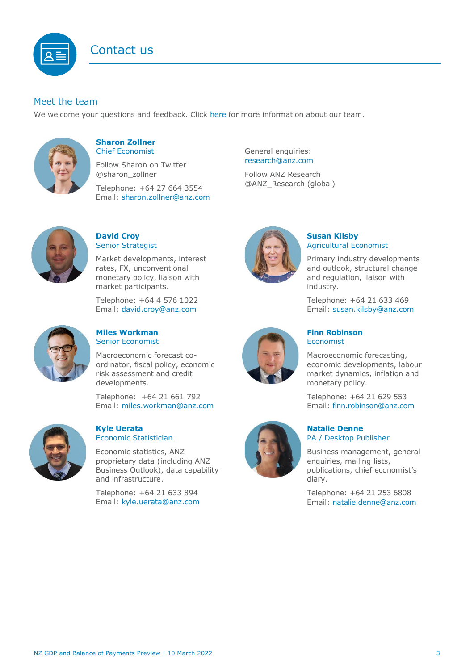

## Meet the team

We welcome your questions and feedback. Click [here](https://www.anz.co.nz/about-us/economic-markets-research/economics-research-team/) for more information about our team.



#### **Sharon Zollner** Chief Economist

Follow Sharon on Twitter @sharon\_zollner

Telephone: +64 27 664 3554 Email: [sharon.zollner@anz.com](mailto:sharon.zollner@anz.com)



## **David Croy** Senior Strategist

Market developments, interest rates, FX, unconventional monetary policy, liaison with market participants.

Telephone: +64 4 576 1022 Email: [david.croy@anz.com](mailto:david.croy@anz.com)



#### <span id="page-2-0"></span>**Miles Workman**  Senior Economist

Macroeconomic forecast coordinator, fiscal policy, economic risk assessment and credit developments.

Telephone: +64 21 661 792 Email: [miles.workman@anz.com](mailto:miles.workman@anz.com)



#### **Kyle Uerata** Economic Statistician

Economic statistics, ANZ proprietary data (including ANZ Business Outlook), data capability and infrastructure.

Telephone: +64 21 633 894 Email: [kyle.uerata@anz.com](mailto:Kyle.Uerata@anz.com) General enquiries: [research@anz.com](mailto:research@anz.com)

Follow ANZ Research @ANZ\_Research (global)



## **Susan Kilsby** Agricultural Economist

Primary industry developments and outlook, structural change and regulation, liaison with industry.

Telephone: +64 21 633 469 Email: [susan.kilsby@anz.com](mailto:susan.kilsby@anz.com)



#### **Finn Robinson** Economist

Macroeconomic forecasting, economic developments, labour market dynamics, inflation and monetary policy.

Telephone: +64 21 629 553 Email: [finn.robinson@anz.com](mailto:finn.robinson@anz.com)

#### **Natalie Denne** PA / Desktop Publisher

Business management, general enquiries, mailing lists, publications, chief economist's diary.

Telephone: +64 21 253 6808 Email: [natalie.denne@anz.com](mailto:natalie.denne@anz.com)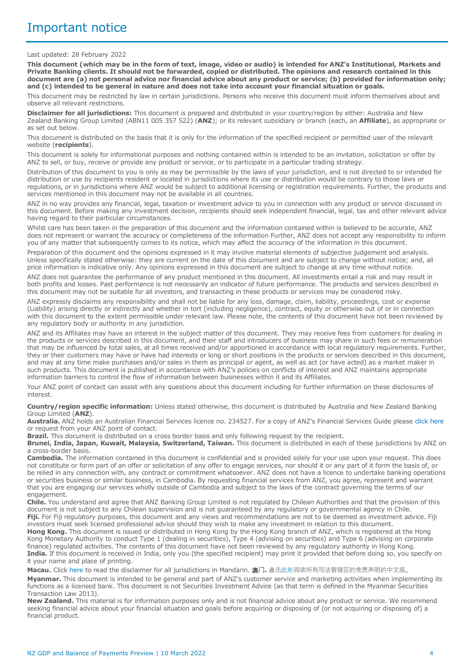#### Last updated: 28 February 2022

**This document (which may be in the form of text, image, video or audio) is intended for ANZ's Institutional, Markets and Private Banking clients. It should not be forwarded, copied or distributed. The opinions and research contained in this document are (a) not personal advice nor financial advice about any product or service; (b) provided for information only; and (c) intended to be general in nature and does not take into account your financial situation or goals.** 

This document may be restricted by law in certain jurisdictions. Persons who receive this document must inform themselves about and observe all relevant restrictions.

**Disclaimer for all jurisdictions:** This document is prepared and distributed in your country/region by either: Australia and New Zealand Banking Group Limited (ABN11 005 357 522) (**ANZ**); or its relevant subsidiary or branch (each, an **Affiliate**), as appropriate or as set out below.

This document is distributed on the basis that it is only for the information of the specified recipient or permitted user of the relevant website (**recipients**).

This document is solely for informational purposes and nothing contained within is intended to be an invitation, solicitation or offer by ANZ to sell, or buy, receive or provide any product or service, or to participate in a particular trading strategy.

Distribution of this document to you is only as may be permissible by the laws of your jurisdiction, and is not directed to or intended for distribution or use by recipients resident or located in jurisdictions where its use or distribution would be contrary to those laws or regulations, or in jurisdictions where ANZ would be subject to additional licensing or registration requirements. Further, the products and services mentioned in this document may not be available in all countries.

ANZ in no way provides any financial, legal, taxation or investment advice to you in connection with any product or service discussed in this document. Before making any investment decision, recipients should seek independent financial, legal, tax and other relevant advice having regard to their particular circumstances.

Whilst care has been taken in the preparation of this document and the information contained within is believed to be accurate, ANZ does not represent or warrant the accuracy or completeness of the information Further, ANZ does not accept any responsibility to inform you of any matter that subsequently comes to its notice, which may affect the accuracy of the information in this document.

Preparation of this document and the opinions expressed in it may involve material elements of subjective judgement and analysis. Unless specifically stated otherwise: they are current on the date of this document and are subject to change without notice; and, all price information is indicative only. Any opinions expressed in this document are subject to change at any time without notice.

ANZ does not guarantee the performance of any product mentioned in this document. All investments entail a risk and may result in both profits and losses. Past performance is not necessarily an indicator of future performance. The products and services described in this document may not be suitable for all investors, and transacting in these products or services may be considered risky.

ANZ expressly disclaims any responsibility and shall not be liable for any loss, damage, claim, liability, proceedings, cost or expense (Liability) arising directly or indirectly and whether in tort (including negligence), contract, equity or otherwise out of or in connection with this document to the extent permissible under relevant law. Please note, the contents of this document have not been reviewed by any regulatory body or authority in any jurisdiction.

ANZ and its Affiliates may have an interest in the subject matter of this document. They may receive fees from customers for dealing in the products or services described in this document, and their staff and introducers of business may share in such fees or remuneration that may be influenced by total sales, at all times received and/or apportioned in accordance with local regulatory requirements. Further, they or their customers may have or have had interests or long or short positions in the products or services described in this document, and may at any time make purchases and/or sales in them as principal or agent, as well as act (or have acted) as a market maker in such products. This document is published in accordance with ANZ's policies on conflicts of interest and ANZ maintains appropriate information barriers to control the flow of information between businesses within it and its Affiliates.

Your ANZ point of contact can assist with any questions about this document including for further information on these disclosures of interest.

#### **Country/region specific information:** Unless stated otherwise, this document is distributed by Australia and New Zealand Banking Group Limited (**ANZ**).

**Australia.** ANZ holds an Australian Financial Services licence no. 234527. For a copy of ANZ's Financial Services Guide please [click here](http://www.anz.com/documents/AU/aboutANZ/FinancialServicesGuide.pdf)  or request from your ANZ point of contact.

**Brazil.** This document is distributed on a cross border basis and only following request by the recipient.

**Brunei, India, Japan, Kuwait, Malaysia, Switzerland, Taiwan.** This document is distributed in each of these jurisdictions by ANZ on a cross-border basis.

**Cambodia.** The information contained in this document is confidential and is provided solely for your use upon your request. This does not constitute or form part of an offer or solicitation of any offer to engage services, nor should it or any part of it form the basis of, or be relied in any connection with, any contract or commitment whatsoever. ANZ does not have a licence to undertake banking operations or securities business or similar business, in Cambodia. By requesting financial services from ANZ, you agree, represent and warrant that you are engaging our services wholly outside of Cambodia and subject to the laws of the contract governing the terms of our engagement.

**Chile.** You understand and agree that ANZ Banking Group Limited is not regulated by Chilean Authorities and that the provision of this document is not subject to any Chilean supervision and is not guaranteed by any regulatory or governmental agency in Chile. **Fiji.** For Fiji regulatory purposes, this document and any views and recommendations are not to be deemed as investment advice. Fiji investors must seek licensed professional advice should they wish to make any investment in relation to this document.

**Hong Kong.** This document is issued or distributed in Hong Kong by the Hong Kong branch of ANZ, which is registered at the Hong Kong Monetary Authority to conduct Type 1 (dealing in securities), Type 4 (advising on securities) and Type 6 (advising on corporate finance) regulated activities. The contents of this document have not been reviewed by any regulatory authority in Hong Kong. **India.** If this document is received in India, only you (the specified recipient) may print it provided that before doing so, you specify on it your name and place of printing.

**Macau.** Click [here](https://publications.anz.com/SingletrackCMS__DownloadDocument?uid=99702b34-f49e-4c62-b4d0-ba0205338c02&docRef=9fbcab60-c878-4b2d-9370-b41c8a164f02&jobRef=c2e420ad-d052-4505-a190-d5f9351aef5f) to read the disclaimer for all jurisdictions in Mandarin. 澳**门.** 点[击此处阅](https://publications.anz.com/SingletrackCMS__DownloadDocument?uid=99702b34-f49e-4c62-b4d0-ba0205338c02&docRef=9fbcab60-c878-4b2d-9370-b41c8a164f02&jobRef=c2e420ad-d052-4505-a190-d5f9351aef5f)读所有司法管辖区的免责声明的中文版。 **Myanmar.** This document is intended to be general and part of ANZ's customer service and marketing activities when implementing its functions as a licensed bank. This document is not Securities Investment Advice (as that term is defined in the Myanmar Securities Transaction Law 2013).

**New Zealand.** This material is for information purposes only and is not financial advice about any product or service. We recommend seeking financial advice about your financial situation and goals before acquiring or disposing of (or not acquiring or disposing of) a financial product.